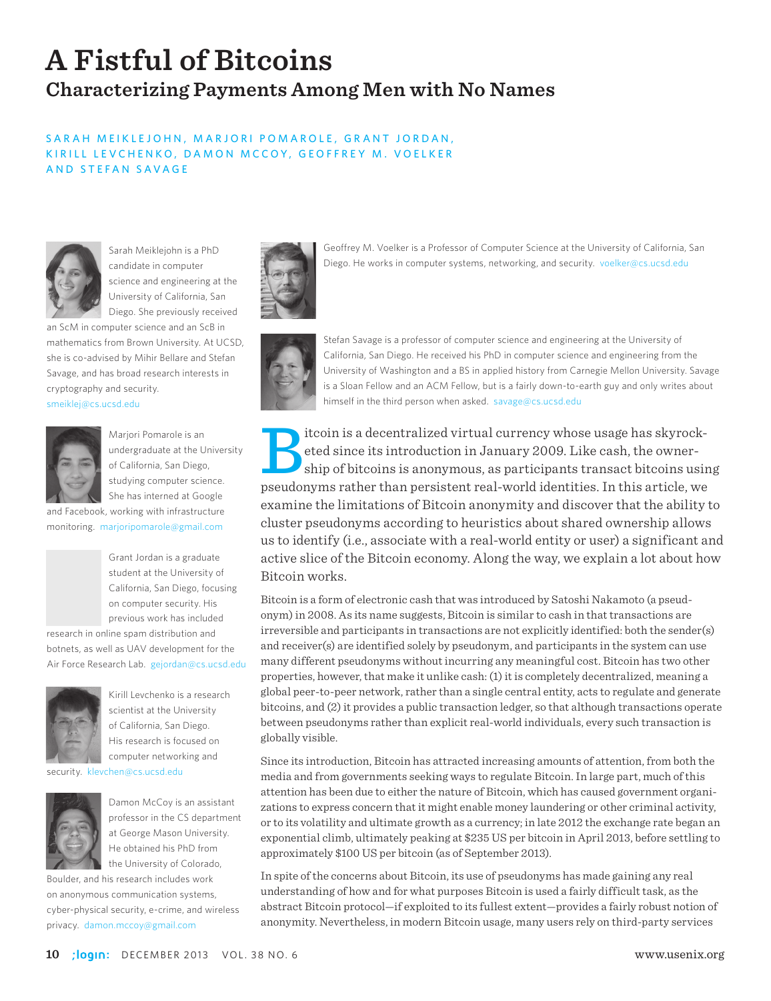# **A Fistful of Bitcoins Characterizing Payments Among Men with No Names**

### SARAH MEIKLEJOHN, MARJORI POMAROLE, GRANT JORDAN, KIRILL LEVCHENKO, DAMON MCCOY, GEOFFREY M. VOELKER AND STEFAN SAVAGE



Sarah Meiklejohn is a PhD candidate in computer science and engineering at the University of California, San Diego. She previously received

an ScM in computer science and an ScB in mathematics from Brown University. At UCSD, she is co-advised by Mihir Bellare and Stefan Savage, and has broad research interests in cryptography and security.

smeiklej@cs.ucsd.edu



Marjori Pomarole is an undergraduate at the University of California, San Diego, studying computer science. She has interned at Google

and Facebook, working with infrastructure monitoring. marjoripomarole@gmail.com



Grant Jordan is a graduate student at the University of California, San Diego, focusing on computer security. His previous work has included

research in online spam distribution and botnets, as well as UAV development for the Air Force Research Lab. gejordan@cs.ucsd.edu



Kirill Levchenko is a research scientist at the University of California, San Diego. His research is focused on computer networking and

security. klevchen@cs.ucsd.edu



Damon McCoy is an assistant professor in the CS department at George Mason University. He obtained his PhD from the University of Colorado,

Boulder, and his research includes work on anonymous communication systems, cyber-physical security, e-crime, and wireless privacy. damon.mccoy@gmail.com



Geoffrey M. Voelker is a Professor of Computer Science at the University of California, San Diego. He works in computer systems, networking, and security. voelker@cs.ucsd.edu



Stefan Savage is a professor of computer science and engineering at the University of California, San Diego. He received his PhD in computer science and engineering from the University of Washington and a BS in applied history from Carnegie Mellon University. Savage is a Sloan Fellow and an ACM Fellow, but is a fairly down-to-earth guy and only writes about himself in the third person when asked. savage@cs.ucsd.edu

itcoin is a decentralized virtual currency whose usage has skyrocketed since its introduction in January 2009. Like cash, the owner-<br>ship of bitcoins is anonymous, as participants transact bitcoins using<br>neudonyms rather t eted since its introduction in January 2009. Like cash, the ownership of bitcoins is anonymous, as participants transact bitcoins using pseudonyms rather than persistent real-world identities. In this article, we examine the limitations of Bitcoin anonymity and discover that the ability to cluster pseudonyms according to heuristics about shared ownership allows us to identify (i.e., associate with a real-world entity or user) a significant and active slice of the Bitcoin economy. Along the way, we explain a lot about how Bitcoin works.

Bitcoin is a form of electronic cash that was introduced by Satoshi Nakamoto (a pseudonym) in 2008. As its name suggests, Bitcoin is similar to cash in that transactions are irreversible and participants in transactions are not explicitly identified: both the sender(s) and receiver(s) are identified solely by pseudonym, and participants in the system can use many different pseudonyms without incurring any meaningful cost. Bitcoin has two other properties, however, that make it unlike cash: (1) it is completely decentralized, meaning a global peer-to-peer network, rather than a single central entity, acts to regulate and generate bitcoins, and (2) it provides a public transaction ledger, so that although transactions operate between pseudonyms rather than explicit real-world individuals, every such transaction is globally visible.

Since its introduction, Bitcoin has attracted increasing amounts of attention, from both the media and from governments seeking ways to regulate Bitcoin. In large part, much of this attention has been due to either the nature of Bitcoin, which has caused government organizations to express concern that it might enable money laundering or other criminal activity, or to its volatility and ultimate growth as a currency; in late 2012 the exchange rate began an exponential climb, ultimately peaking at \$235 US per bitcoin in April 2013, before settling to approximately \$100 US per bitcoin (as of September 2013).

In spite of the concerns about Bitcoin, its use of pseudonyms has made gaining any real understanding of how and for what purposes Bitcoin is used a fairly difficult task, as the abstract Bitcoin protocol—if exploited to its fullest extent—provides a fairly robust notion of anonymity. Nevertheless, in modern Bitcoin usage, many users rely on third-party services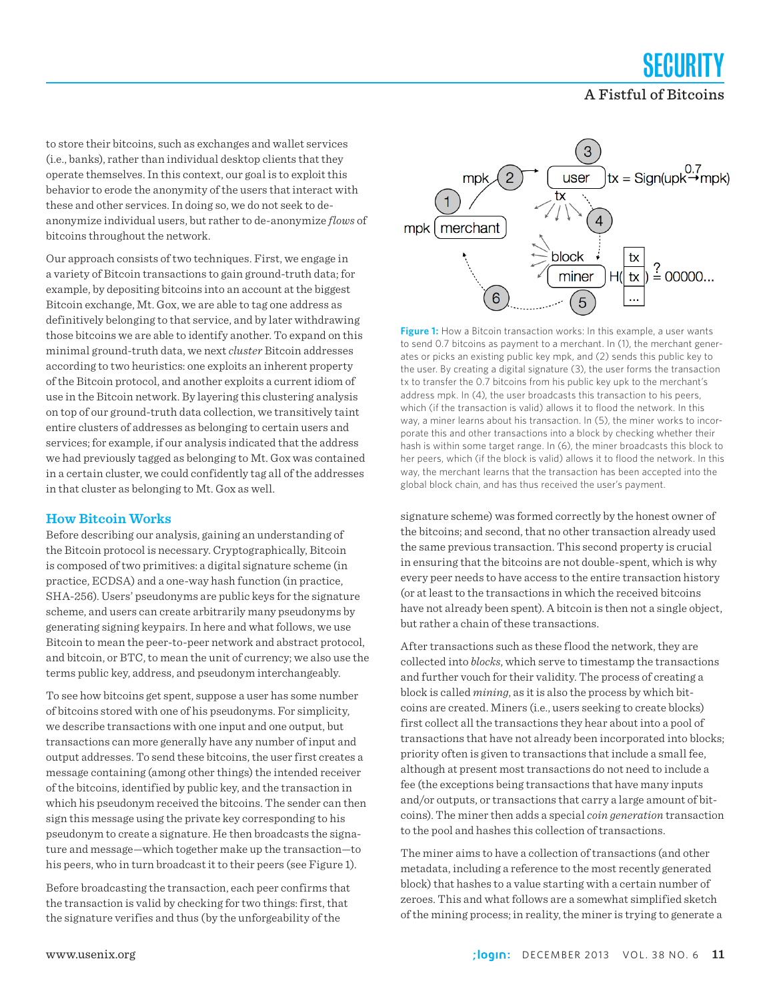SECUR A Fistful of Bitcoins

to store their bitcoins, such as exchanges and wallet services (i.e., banks), rather than individual desktop clients that they operate themselves. In this context, our goal is to exploit this behavior to erode the anonymity of the users that interact with these and other services. In doing so, we do not seek to deanonymize individual users, but rather to de-anonymize *flows* of bitcoins throughout the network.

Our approach consists of two techniques. First, we engage in a variety of Bitcoin transactions to gain ground-truth data; for example, by depositing bitcoins into an account at the biggest Bitcoin exchange, Mt. Gox, we are able to tag one address as definitively belonging to that service, and by later withdrawing those bitcoins we are able to identify another. To expand on this minimal ground-truth data, we next *cluster* Bitcoin addresses according to two heuristics: one exploits an inherent property of the Bitcoin protocol, and another exploits a current idiom of use in the Bitcoin network. By layering this clustering analysis on top of our ground-truth data collection, we transitively taint entire clusters of addresses as belonging to certain users and services; for example, if our analysis indicated that the address we had previously tagged as belonging to Mt. Gox was contained in a certain cluster, we could confidently tag all of the addresses in that cluster as belonging to Mt. Gox as well.

#### **How Bitcoin Works**

Before describing our analysis, gaining an understanding of the Bitcoin protocol is necessary. Cryptographically, Bitcoin is composed of two primitives: a digital signature scheme (in practice, ECDSA) and a one-way hash function (in practice, SHA-256). Users' pseudonyms are public keys for the signature scheme, and users can create arbitrarily many pseudonyms by generating signing keypairs. In here and what follows, we use Bitcoin to mean the peer-to-peer network and abstract protocol, and bitcoin, or BTC, to mean the unit of currency; we also use the terms public key, address, and pseudonym interchangeably.

To see how bitcoins get spent, suppose a user has some number of bitcoins stored with one of his pseudonyms. For simplicity, we describe transactions with one input and one output, but transactions can more generally have any number of input and output addresses. To send these bitcoins, the user first creates a message containing (among other things) the intended receiver of the bitcoins, identified by public key, and the transaction in which his pseudonym received the bitcoins. The sender can then sign this message using the private key corresponding to his pseudonym to create a signature. He then broadcasts the signature and message—which together make up the transaction—to his peers, who in turn broadcast it to their peers (see Figure 1).

Before broadcasting the transaction, each peer confirms that the transaction is valid by checking for two things: first, that the signature verifies and thus (by the unforgeability of the



**Figure 1:** How a Bitcoin transaction works: In this example, a user wants to send 0.7 bitcoins as payment to a merchant. In (1), the merchant generates or picks an existing public key mpk, and (2) sends this public key to the user. By creating a digital signature (3), the user forms the transaction tx to transfer the 0.7 bitcoins from his public key upk to the merchant's address mpk. In (4), the user broadcasts this transaction to his peers, which (if the transaction is valid) allows it to flood the network. In this way, a miner learns about his transaction. In (5), the miner works to incorporate this and other transactions into a block by checking whether their hash is within some target range. In (6), the miner broadcasts this block to her peers, which (if the block is valid) allows it to flood the network. In this way, the merchant learns that the transaction has been accepted into the global block chain, and has thus received the user's payment.

signature scheme) was formed correctly by the honest owner of the bitcoins; and second, that no other transaction already used the same previous transaction. This second property is crucial in ensuring that the bitcoins are not double-spent, which is why every peer needs to have access to the entire transaction history (or at least to the transactions in which the received bitcoins have not already been spent). A bitcoin is then not a single object, but rather a chain of these transactions.

After transactions such as these flood the network, they are collected into *blocks*, which serve to timestamp the transactions and further vouch for their validity. The process of creating a block is called *mining*, as it is also the process by which bitcoins are created. Miners (i.e., users seeking to create blocks) first collect all the transactions they hear about into a pool of transactions that have not already been incorporated into blocks; priority often is given to transactions that include a small fee, although at present most transactions do not need to include a fee (the exceptions being transactions that have many inputs and/or outputs, or transactions that carry a large amount of bitcoins). The miner then adds a special *coin generation* transaction to the pool and hashes this collection of transactions.

The miner aims to have a collection of transactions (and other metadata, including a reference to the most recently generated block) that hashes to a value starting with a certain number of zeroes. This and what follows are a somewhat simplified sketch of the mining process; in reality, the miner is trying to generate a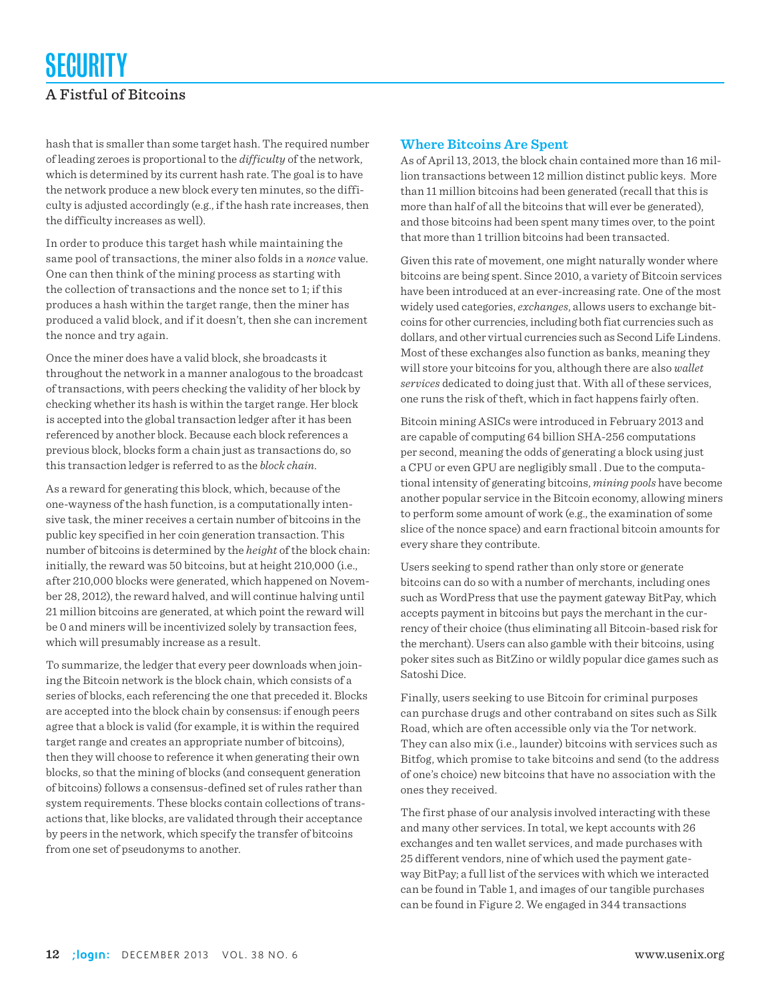# SECURITY A Fistful of Bitcoins

hash that is smaller than some target hash. The required number of leading zeroes is proportional to the *difficulty* of the network, which is determined by its current hash rate. The goal is to have the network produce a new block every ten minutes, so the difficulty is adjusted accordingly (e.g., if the hash rate increases, then the difficulty increases as well).

In order to produce this target hash while maintaining the same pool of transactions, the miner also folds in a *nonce* value. One can then think of the mining process as starting with the collection of transactions and the nonce set to 1; if this produces a hash within the target range, then the miner has produced a valid block, and if it doesn't, then she can increment the nonce and try again.

Once the miner does have a valid block, she broadcasts it throughout the network in a manner analogous to the broadcast of transactions, with peers checking the validity of her block by checking whether its hash is within the target range. Her block is accepted into the global transaction ledger after it has been referenced by another block. Because each block references a previous block, blocks form a chain just as transactions do, so this transaction ledger is referred to as the *block chain*.

As a reward for generating this block, which, because of the one-wayness of the hash function, is a computationally intensive task, the miner receives a certain number of bitcoins in the public key specified in her coin generation transaction. This number of bitcoins is determined by the *height* of the block chain: initially, the reward was 50 bitcoins, but at height 210,000 (i.e., after 210,000 blocks were generated, which happened on November 28, 2012), the reward halved, and will continue halving until 21 million bitcoins are generated, at which point the reward will be 0 and miners will be incentivized solely by transaction fees, which will presumably increase as a result.

To summarize, the ledger that every peer downloads when joining the Bitcoin network is the block chain, which consists of a series of blocks, each referencing the one that preceded it. Blocks are accepted into the block chain by consensus: if enough peers agree that a block is valid (for example, it is within the required target range and creates an appropriate number of bitcoins), then they will choose to reference it when generating their own blocks, so that the mining of blocks (and consequent generation of bitcoins) follows a consensus-defined set of rules rather than system requirements. These blocks contain collections of transactions that, like blocks, are validated through their acceptance by peers in the network, which specify the transfer of bitcoins from one set of pseudonyms to another.

### **Where Bitcoins Are Spent**

As of April 13, 2013, the block chain contained more than 16 million transactions between 12 million distinct public keys. More than 11 million bitcoins had been generated (recall that this is more than half of all the bitcoins that will ever be generated), and those bitcoins had been spent many times over, to the point that more than 1 trillion bitcoins had been transacted.

Given this rate of movement, one might naturally wonder where bitcoins are being spent. Since 2010, a variety of Bitcoin services have been introduced at an ever-increasing rate. One of the most widely used categories, *exchanges*, allows users to exchange bitcoins for other currencies, including both fiat currencies such as dollars, and other virtual currencies such as Second Life Lindens. Most of these exchanges also function as banks, meaning they will store your bitcoins for you, although there are also *wallet services* dedicated to doing just that. With all of these services, one runs the risk of theft, which in fact happens fairly often.

Bitcoin mining ASICs were introduced in February 2013 and are capable of computing 64 billion SHA-256 computations per second, meaning the odds of generating a block using just a CPU or even GPU are negligibly small . Due to the computational intensity of generating bitcoins, *mining pools* have become another popular service in the Bitcoin economy, allowing miners to perform some amount of work (e.g., the examination of some slice of the nonce space) and earn fractional bitcoin amounts for every share they contribute.

Users seeking to spend rather than only store or generate bitcoins can do so with a number of merchants, including ones such as WordPress that use the payment gateway BitPay, which accepts payment in bitcoins but pays the merchant in the currency of their choice (thus eliminating all Bitcoin-based risk for the merchant). Users can also gamble with their bitcoins, using poker sites such as BitZino or wildly popular dice games such as Satoshi Dice.

Finally, users seeking to use Bitcoin for criminal purposes can purchase drugs and other contraband on sites such as Silk Road, which are often accessible only via the Tor network. They can also mix (i.e., launder) bitcoins with services such as Bitfog, which promise to take bitcoins and send (to the address of one's choice) new bitcoins that have no association with the ones they received.

The first phase of our analysis involved interacting with these and many other services. In total, we kept accounts with 26 exchanges and ten wallet services, and made purchases with 25 different vendors, nine of which used the payment gateway BitPay; a full list of the services with which we interacted can be found in Table 1, and images of our tangible purchases can be found in Figure 2. We engaged in 344 transactions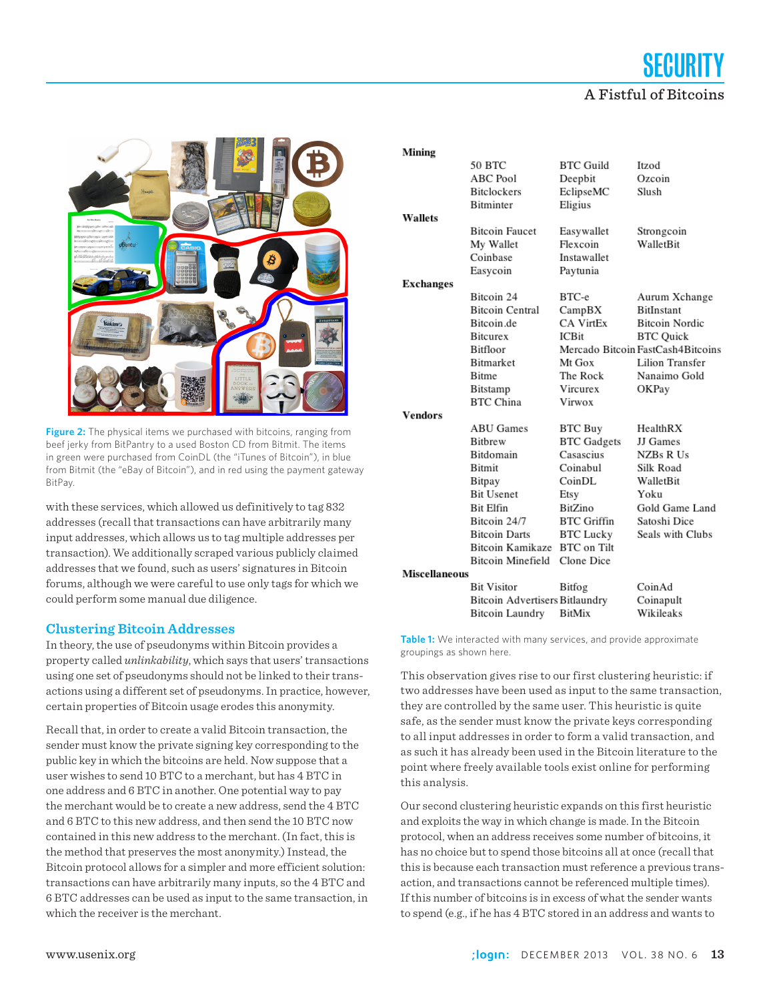# SECURITY A Fistful of Bitcoins



**Figure 2:** The physical items we purchased with bitcoins, ranging from beef jerky from BitPantry to a used Boston CD from Bitmit. The items in green were purchased from CoinDL (the "iTunes of Bitcoin"), in blue from Bitmit (the "eBay of Bitcoin"), and in red using the payment gateway BitPay.

with these services, which allowed us definitively to tag 832 addresses (recall that transactions can have arbitrarily many input addresses, which allows us to tag multiple addresses per transaction). We additionally scraped various publicly claimed addresses that we found, such as users' signatures in Bitcoin forums, although we were careful to use only tags for which we could perform some manual due diligence.

#### **Clustering Bitcoin Addresses**

In theory, the use of pseudonyms within Bitcoin provides a property called *unlinkability*, which says that users' transactions using one set of pseudonyms should not be linked to their transactions using a different set of pseudonyms. In practice, however, certain properties of Bitcoin usage erodes this anonymity.

Recall that, in order to create a valid Bitcoin transaction, the sender must know the private signing key corresponding to the public key in which the bitcoins are held. Now suppose that a user wishes to send 10 BTC to a merchant, but has 4 BTC in one address and 6 BTC in another. One potential way to pay the merchant would be to create a new address, send the 4 BTC and 6 BTC to this new address, and then send the 10 BTC now contained in this new address to the merchant. (In fact, this is the method that preserves the most anonymity.) Instead, the Bitcoin protocol allows for a simpler and more efficient solution: transactions can have arbitrarily many inputs, so the 4 BTC and 6 BTC addresses can be used as input to the same transaction, in which the receiver is the merchant.

|                      | Mining           |                                |                    |                                   |
|----------------------|------------------|--------------------------------|--------------------|-----------------------------------|
|                      |                  | 50 BTC                         | <b>BTC Guild</b>   | Itzod                             |
|                      |                  | <b>ABC Pool</b>                | Deepbit            | Ozcoin                            |
|                      |                  | <b>Bitclockers</b>             | EclipseMC          | Slush                             |
|                      |                  | Bitminter                      | Eligius            |                                   |
|                      | <b>Wallets</b>   |                                |                    |                                   |
|                      |                  | <b>Bitcoin Faucet</b>          | Easywallet         | Strongcoin                        |
|                      |                  | My Wallet                      | Flexcoin           | WalletBit                         |
|                      |                  | Coinbase                       | Instawallet        |                                   |
|                      |                  | Easycoin                       | Paytunia           |                                   |
|                      | <b>Exchanges</b> |                                |                    |                                   |
|                      |                  | Bitcoin 24                     | BTC-e              | Aurum Xchange                     |
|                      |                  | <b>Bitcoin Central</b>         | CampBX             | <b>BitInstant</b>                 |
|                      |                  | Bitcoin.de                     | CA VirtEx          | <b>Bitcoin Nordic</b>             |
|                      |                  | <b>Bitcurex</b>                | <b>ICBit</b>       | <b>BTC</b> Quick                  |
|                      |                  | Bitfloor                       |                    | Mercado Bitcoin FastCash4Bitcoins |
|                      |                  | <b>Bitmarket</b>               | Mt Gox             | <b>Lilion Transfer</b>            |
|                      |                  | <b>Bitme</b>                   | The Rock           | Nanaimo Gold                      |
|                      |                  | Bitstamp                       | Vircurex           | OKPay                             |
|                      |                  | <b>BTC China</b>               | Virwox             |                                   |
|                      | <b>Vendors</b>   |                                |                    |                                   |
|                      |                  | <b>ABU Games</b>               | BTC Buy            | HealthRX                          |
|                      |                  | <b>Bithrew</b>                 | <b>BTC</b> Gadgets | JJ Games                          |
|                      |                  | Bitdomain                      | Casascius          | NZBs R Us                         |
|                      |                  | <b>Bitmit</b>                  | Coinabul           | Silk Road                         |
|                      |                  | Bitpay                         | CoinDL             | WalletBit                         |
|                      |                  | <b>Bit Usenet</b>              | Etsy               | Yoku                              |
|                      |                  | <b>Bit Elfin</b>               | BitZino            | Gold Game Land                    |
|                      |                  | Bitcoin 24/7                   | <b>BTC</b> Griffin | Satoshi Dice                      |
|                      |                  | <b>Bitcoin Darts</b>           | <b>BTC Lucky</b>   | Seals with Clubs                  |
|                      |                  | Bitcoin Kamikaze               | <b>BTC</b> on Tilt |                                   |
|                      |                  | Bitcoin Minefield              | Clone Dice         |                                   |
| <b>Miscellaneous</b> |                  |                                |                    |                                   |
|                      |                  | <b>Bit Visitor</b>             | Bitfog             | CoinAd                            |
|                      |                  | Bitcoin Advertisers Bitlaundry |                    | Coinapult                         |
|                      |                  | <b>Bitcoin Laundry</b>         | <b>BitMix</b>      | Wikileaks                         |
|                      |                  |                                |                    |                                   |

**Table 1:** We interacted with many services, and provide approximate groupings as shown here.

This observation gives rise to our first clustering heuristic: if two addresses have been used as input to the same transaction, they are controlled by the same user. This heuristic is quite safe, as the sender must know the private keys corresponding to all input addresses in order to form a valid transaction, and as such it has already been used in the Bitcoin literature to the point where freely available tools exist online for performing this analysis.

Our second clustering heuristic expands on this first heuristic and exploits the way in which change is made. In the Bitcoin protocol, when an address receives some number of bitcoins, it has no choice but to spend those bitcoins all at once (recall that this is because each transaction must reference a previous transaction, and transactions cannot be referenced multiple times). If this number of bitcoins is in excess of what the sender wants to spend (e.g., if he has 4 BTC stored in an address and wants to